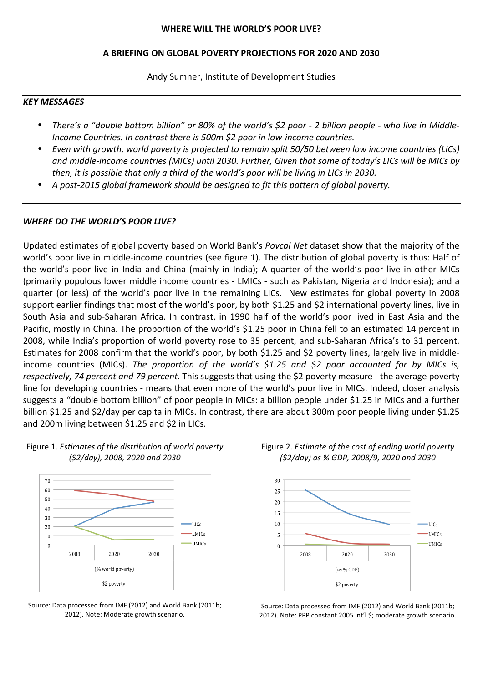#### WHERE WILL THE WORLD'S POOR LIVE?

#### **A%BRIEFING%ON%GLOBAL%POVERTY%PROJECTIONS%FOR%2020%AND%2030**

Andy Sumner, Institute of Development Studies

#### *KEY!MESSAGES*

- *There's a "double bottom billion" or 80% of the world's \$2 poor 2 billion people who live in Middle-Income Countries. In contrast there is 500m \$2 poor in low-income countries.*
- *Even with growth, world poverty is projected to remain split 50/50 between low income countries (LICs)* and middle-income countries (MICs) until 2030. Further, Given that some of today's LICs will be MICs by *then, it is possible that only a third of the world's poor will be living in LICs in 2030.*
- A post-2015 global framework should be designed to fit this pattern of global poverty.

#### *WHERE DO THE WORLD'S POOR LIVE?*

Updated estimates of global poverty based on World Bank's *Povcal Net* dataset show that the majority of the world's poor live in middle-income countries (see figure 1). The distribution of global poverty is thus: Half of the world's poor live in India and China (mainly in India); A quarter of the world's poor live in other MICs (primarily populous lower middle income countries - LMICs - such as Pakistan, Nigeria and Indonesia); and a quarter (or less) of the world's poor live in the remaining LICs. New estimates for global poverty in 2008 support earlier findings that most of the world's poor, by both \$1.25 and \$2 international poverty lines, live in South Asia and sub-Saharan Africa. In contrast, in 1990 half of the world's poor lived in East Asia and the Pacific, mostly in China. The proportion of the world's \$1.25 poor in China fell to an estimated 14 percent in 2008, while India's proportion of world poverty rose to 35 percent, and sub-Saharan Africa's to 31 percent. Estimates for 2008 confirm that the world's poor, by both \$1.25 and \$2 poverty lines, largely live in middleincome countries (MICs). The proportion of the world's \$1.25 and \$2 poor accounted for by MICs is, respectively, 74 percent and 79 percent. This suggests that using the \$2 poverty measure - the average poverty line for developing countries - means that even more of the world's poor live in MICs. Indeed, closer analysis suggests a "double bottom billion" of poor people in MICs: a billion people under \$1.25 in MICs and a further billion \$1.25 and \$2/day per capita in MICs. In contrast, there are about 300m poor people living under \$1.25 and 200m living between \$1.25 and \$2 in LICs.







Source: Data processed from IMF (2012) and World Bank (2011b; 2012). Note: Moderate growth scenario.



Figure 2. *Estimate of the cost of ending world poverty (\$2/day)!as!%!GDP,!2008/9,!2020!and!2030*

Source: Data processed from IMF (2012) and World Bank (2011b; 2012). Note: PPP constant 2005 int'l \$; moderate growth scenario.